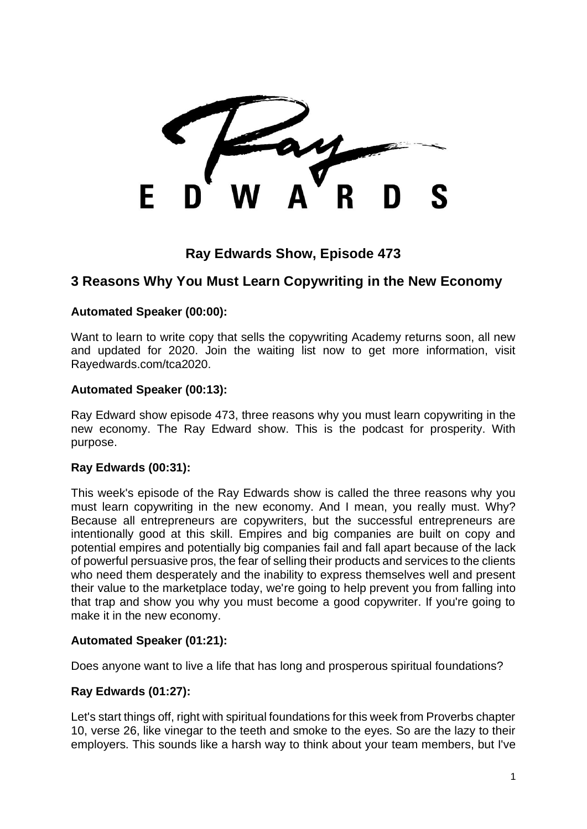F

# **Ray Edwards Show, Episode 473**

# **3 Reasons Why You Must Learn Copywriting in the New Economy**

#### **Automated Speaker (00:00):**

Want to learn to write copy that sells the copywriting Academy returns soon, all new and updated for 2020. Join the waiting list now to get more information, visit Rayedwards.com/tca2020.

#### **Automated Speaker (00:13):**

Ray Edward show episode 473, three reasons why you must learn copywriting in the new economy. The Ray Edward show. This is the podcast for prosperity. With purpose.

#### **Ray Edwards (00:31):**

This week's episode of the Ray Edwards show is called the three reasons why you must learn copywriting in the new economy. And I mean, you really must. Why? Because all entrepreneurs are copywriters, but the successful entrepreneurs are intentionally good at this skill. Empires and big companies are built on copy and potential empires and potentially big companies fail and fall apart because of the lack of powerful persuasive pros, the fear of selling their products and services to the clients who need them desperately and the inability to express themselves well and present their value to the marketplace today, we're going to help prevent you from falling into that trap and show you why you must become a good copywriter. If you're going to make it in the new economy.

### **Automated Speaker (01:21):**

Does anyone want to live a life that has long and prosperous spiritual foundations?

#### **Ray Edwards (01:27):**

Let's start things off, right with spiritual foundations for this week from Proverbs chapter 10, verse 26, like vinegar to the teeth and smoke to the eyes. So are the lazy to their employers. This sounds like a harsh way to think about your team members, but I've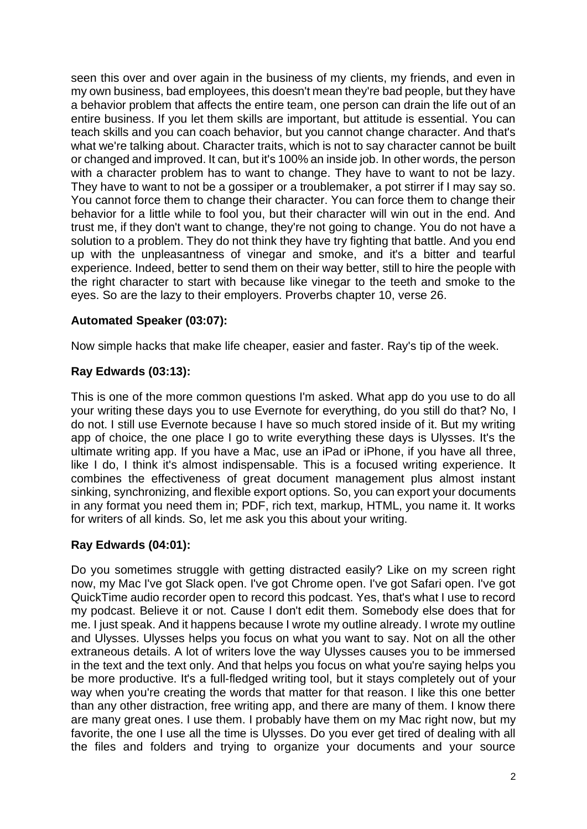seen this over and over again in the business of my clients, my friends, and even in my own business, bad employees, this doesn't mean they're bad people, but they have a behavior problem that affects the entire team, one person can drain the life out of an entire business. If you let them skills are important, but attitude is essential. You can teach skills and you can coach behavior, but you cannot change character. And that's what we're talking about. Character traits, which is not to say character cannot be built or changed and improved. It can, but it's 100% an inside job. In other words, the person with a character problem has to want to change. They have to want to not be lazy. They have to want to not be a gossiper or a troublemaker, a pot stirrer if I may say so. You cannot force them to change their character. You can force them to change their behavior for a little while to fool you, but their character will win out in the end. And trust me, if they don't want to change, they're not going to change. You do not have a solution to a problem. They do not think they have try fighting that battle. And you end up with the unpleasantness of vinegar and smoke, and it's a bitter and tearful experience. Indeed, better to send them on their way better, still to hire the people with the right character to start with because like vinegar to the teeth and smoke to the eyes. So are the lazy to their employers. Proverbs chapter 10, verse 26.

### **Automated Speaker (03:07):**

Now simple hacks that make life cheaper, easier and faster. Ray's tip of the week.

### **Ray Edwards (03:13):**

This is one of the more common questions I'm asked. What app do you use to do all your writing these days you to use Evernote for everything, do you still do that? No, I do not. I still use Evernote because I have so much stored inside of it. But my writing app of choice, the one place I go to write everything these days is Ulysses. It's the ultimate writing app. If you have a Mac, use an iPad or iPhone, if you have all three, like I do, I think it's almost indispensable. This is a focused writing experience. It combines the effectiveness of great document management plus almost instant sinking, synchronizing, and flexible export options. So, you can export your documents in any format you need them in; PDF, rich text, markup, HTML, you name it. It works for writers of all kinds. So, let me ask you this about your writing.

### **Ray Edwards (04:01):**

Do you sometimes struggle with getting distracted easily? Like on my screen right now, my Mac I've got Slack open. I've got Chrome open. I've got Safari open. I've got QuickTime audio recorder open to record this podcast. Yes, that's what I use to record my podcast. Believe it or not. Cause I don't edit them. Somebody else does that for me. I just speak. And it happens because I wrote my outline already. I wrote my outline and Ulysses. Ulysses helps you focus on what you want to say. Not on all the other extraneous details. A lot of writers love the way Ulysses causes you to be immersed in the text and the text only. And that helps you focus on what you're saying helps you be more productive. It's a full-fledged writing tool, but it stays completely out of your way when you're creating the words that matter for that reason. I like this one better than any other distraction, free writing app, and there are many of them. I know there are many great ones. I use them. I probably have them on my Mac right now, but my favorite, the one I use all the time is Ulysses. Do you ever get tired of dealing with all the files and folders and trying to organize your documents and your source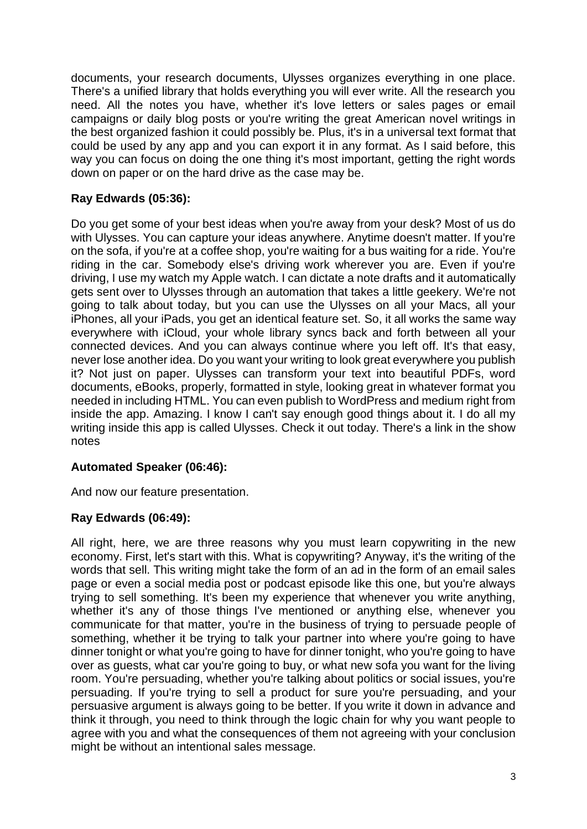documents, your research documents, Ulysses organizes everything in one place. There's a unified library that holds everything you will ever write. All the research you need. All the notes you have, whether it's love letters or sales pages or email campaigns or daily blog posts or you're writing the great American novel writings in the best organized fashion it could possibly be. Plus, it's in a universal text format that could be used by any app and you can export it in any format. As I said before, this way you can focus on doing the one thing it's most important, getting the right words down on paper or on the hard drive as the case may be.

## **Ray Edwards (05:36):**

Do you get some of your best ideas when you're away from your desk? Most of us do with Ulysses. You can capture your ideas anywhere. Anytime doesn't matter. If you're on the sofa, if you're at a coffee shop, you're waiting for a bus waiting for a ride. You're riding in the car. Somebody else's driving work wherever you are. Even if you're driving, I use my watch my Apple watch. I can dictate a note drafts and it automatically gets sent over to Ulysses through an automation that takes a little geekery. We're not going to talk about today, but you can use the Ulysses on all your Macs, all your iPhones, all your iPads, you get an identical feature set. So, it all works the same way everywhere with iCloud, your whole library syncs back and forth between all your connected devices. And you can always continue where you left off. It's that easy, never lose another idea. Do you want your writing to look great everywhere you publish it? Not just on paper. Ulysses can transform your text into beautiful PDFs, word documents, eBooks, properly, formatted in style, looking great in whatever format you needed in including HTML. You can even publish to WordPress and medium right from inside the app. Amazing. I know I can't say enough good things about it. I do all my writing inside this app is called Ulysses. Check it out today. There's a link in the show notes

### **Automated Speaker (06:46):**

And now our feature presentation.

### **Ray Edwards (06:49):**

All right, here, we are three reasons why you must learn copywriting in the new economy. First, let's start with this. What is copywriting? Anyway, it's the writing of the words that sell. This writing might take the form of an ad in the form of an email sales page or even a social media post or podcast episode like this one, but you're always trying to sell something. It's been my experience that whenever you write anything, whether it's any of those things I've mentioned or anything else, whenever you communicate for that matter, you're in the business of trying to persuade people of something, whether it be trying to talk your partner into where you're going to have dinner tonight or what you're going to have for dinner tonight, who you're going to have over as guests, what car you're going to buy, or what new sofa you want for the living room. You're persuading, whether you're talking about politics or social issues, you're persuading. If you're trying to sell a product for sure you're persuading, and your persuasive argument is always going to be better. If you write it down in advance and think it through, you need to think through the logic chain for why you want people to agree with you and what the consequences of them not agreeing with your conclusion might be without an intentional sales message.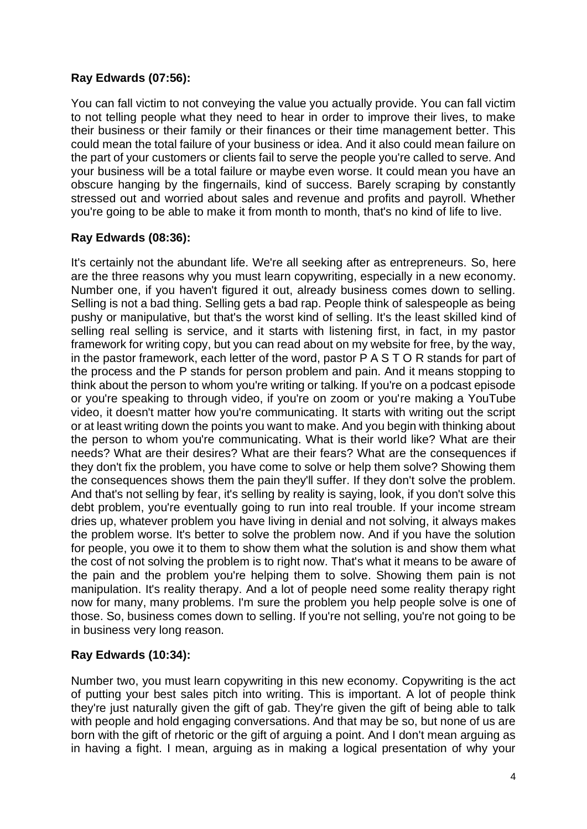### **Ray Edwards (07:56):**

You can fall victim to not conveying the value you actually provide. You can fall victim to not telling people what they need to hear in order to improve their lives, to make their business or their family or their finances or their time management better. This could mean the total failure of your business or idea. And it also could mean failure on the part of your customers or clients fail to serve the people you're called to serve. And your business will be a total failure or maybe even worse. It could mean you have an obscure hanging by the fingernails, kind of success. Barely scraping by constantly stressed out and worried about sales and revenue and profits and payroll. Whether you're going to be able to make it from month to month, that's no kind of life to live.

### **Ray Edwards (08:36):**

It's certainly not the abundant life. We're all seeking after as entrepreneurs. So, here are the three reasons why you must learn copywriting, especially in a new economy. Number one, if you haven't figured it out, already business comes down to selling. Selling is not a bad thing. Selling gets a bad rap. People think of salespeople as being pushy or manipulative, but that's the worst kind of selling. It's the least skilled kind of selling real selling is service, and it starts with listening first, in fact, in my pastor framework for writing copy, but you can read about on my website for free, by the way, in the pastor framework, each letter of the word, pastor P A S T O R stands for part of the process and the P stands for person problem and pain. And it means stopping to think about the person to whom you're writing or talking. If you're on a podcast episode or you're speaking to through video, if you're on zoom or you're making a YouTube video, it doesn't matter how you're communicating. It starts with writing out the script or at least writing down the points you want to make. And you begin with thinking about the person to whom you're communicating. What is their world like? What are their needs? What are their desires? What are their fears? What are the consequences if they don't fix the problem, you have come to solve or help them solve? Showing them the consequences shows them the pain they'll suffer. If they don't solve the problem. And that's not selling by fear, it's selling by reality is saying, look, if you don't solve this debt problem, you're eventually going to run into real trouble. If your income stream dries up, whatever problem you have living in denial and not solving, it always makes the problem worse. It's better to solve the problem now. And if you have the solution for people, you owe it to them to show them what the solution is and show them what the cost of not solving the problem is to right now. That's what it means to be aware of the pain and the problem you're helping them to solve. Showing them pain is not manipulation. It's reality therapy. And a lot of people need some reality therapy right now for many, many problems. I'm sure the problem you help people solve is one of those. So, business comes down to selling. If you're not selling, you're not going to be in business very long reason.

# **Ray Edwards (10:34):**

Number two, you must learn copywriting in this new economy. Copywriting is the act of putting your best sales pitch into writing. This is important. A lot of people think they're just naturally given the gift of gab. They're given the gift of being able to talk with people and hold engaging conversations. And that may be so, but none of us are born with the gift of rhetoric or the gift of arguing a point. And I don't mean arguing as in having a fight. I mean, arguing as in making a logical presentation of why your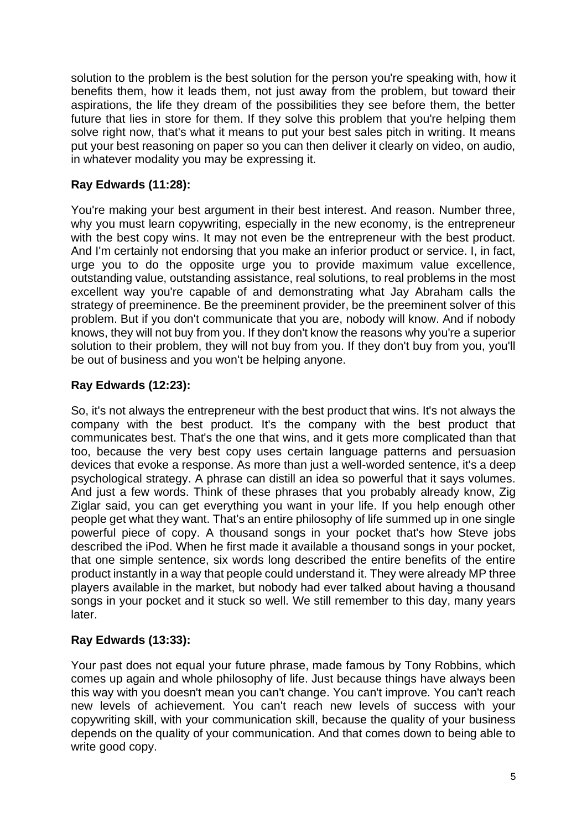solution to the problem is the best solution for the person you're speaking with, how it benefits them, how it leads them, not just away from the problem, but toward their aspirations, the life they dream of the possibilities they see before them, the better future that lies in store for them. If they solve this problem that you're helping them solve right now, that's what it means to put your best sales pitch in writing. It means put your best reasoning on paper so you can then deliver it clearly on video, on audio, in whatever modality you may be expressing it.

# **Ray Edwards (11:28):**

You're making your best argument in their best interest. And reason. Number three, why you must learn copywriting, especially in the new economy, is the entrepreneur with the best copy wins. It may not even be the entrepreneur with the best product. And I'm certainly not endorsing that you make an inferior product or service. I, in fact, urge you to do the opposite urge you to provide maximum value excellence, outstanding value, outstanding assistance, real solutions, to real problems in the most excellent way you're capable of and demonstrating what Jay Abraham calls the strategy of preeminence. Be the preeminent provider, be the preeminent solver of this problem. But if you don't communicate that you are, nobody will know. And if nobody knows, they will not buy from you. If they don't know the reasons why you're a superior solution to their problem, they will not buy from you. If they don't buy from you, you'll be out of business and you won't be helping anyone.

# **Ray Edwards (12:23):**

So, it's not always the entrepreneur with the best product that wins. It's not always the company with the best product. It's the company with the best product that communicates best. That's the one that wins, and it gets more complicated than that too, because the very best copy uses certain language patterns and persuasion devices that evoke a response. As more than just a well-worded sentence, it's a deep psychological strategy. A phrase can distill an idea so powerful that it says volumes. And just a few words. Think of these phrases that you probably already know, Zig Ziglar said, you can get everything you want in your life. If you help enough other people get what they want. That's an entire philosophy of life summed up in one single powerful piece of copy. A thousand songs in your pocket that's how Steve jobs described the iPod. When he first made it available a thousand songs in your pocket, that one simple sentence, six words long described the entire benefits of the entire product instantly in a way that people could understand it. They were already MP three players available in the market, but nobody had ever talked about having a thousand songs in your pocket and it stuck so well. We still remember to this day, many years later.

# **Ray Edwards (13:33):**

Your past does not equal your future phrase, made famous by Tony Robbins, which comes up again and whole philosophy of life. Just because things have always been this way with you doesn't mean you can't change. You can't improve. You can't reach new levels of achievement. You can't reach new levels of success with your copywriting skill, with your communication skill, because the quality of your business depends on the quality of your communication. And that comes down to being able to write good copy.